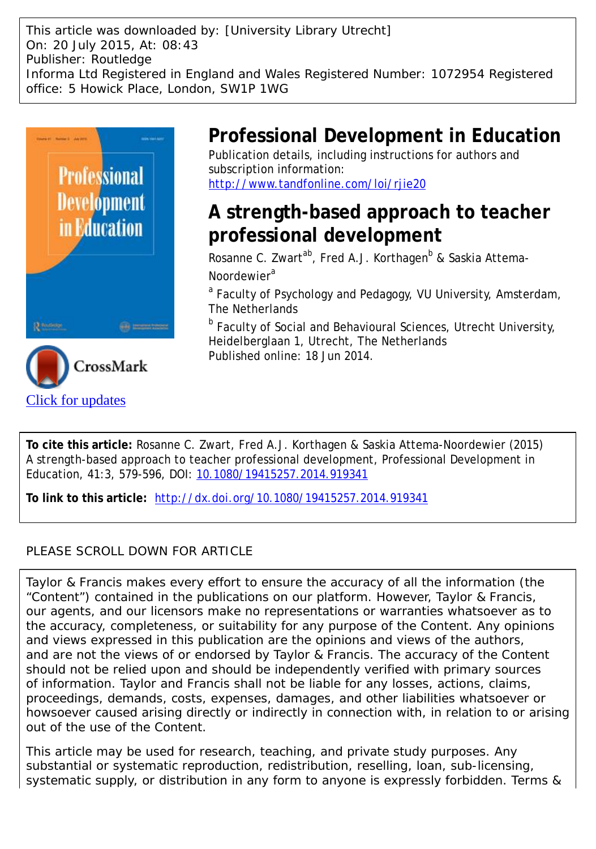This article was downloaded by: [University Library Utrecht] On: 20 July 2015, At: 08:43 Publisher: Routledge Informa Ltd Registered in England and Wales Registered Number: 1072954 Registered office: 5 Howick Place, London, SW1P 1WG



# **Professional Development in Education**

Publication details, including instructions for authors and subscription information: <http://www.tandfonline.com/loi/rjie20>

# **A strength-based approach to teacher professional development**

Rosanne C. Zwart<sup>ab</sup>, Fred A.J. Korthagen<sup>b</sup> & Saskia Attema-Noordewier<sup>a</sup>

<sup>a</sup> Faculty of Psychology and Pedagogy, VU University, Amsterdam, The Netherlands

**b** Faculty of Social and Behavioural Sciences, Utrecht University, Heidelberglaan 1, Utrecht, The Netherlands Published online: 18 Jun 2014.

**To cite this article:** Rosanne C. Zwart, Fred A.J. Korthagen & Saskia Attema-Noordewier (2015) A strength-based approach to teacher professional development, Professional Development in Education, 41:3, 579-596, DOI: [10.1080/19415257.2014.919341](http://www.tandfonline.com/action/showCitFormats?doi=10.1080/19415257.2014.919341)

**To link to this article:** <http://dx.doi.org/10.1080/19415257.2014.919341>

# PLEASE SCROLL DOWN FOR ARTICLE

Taylor & Francis makes every effort to ensure the accuracy of all the information (the "Content") contained in the publications on our platform. However, Taylor & Francis, our agents, and our licensors make no representations or warranties whatsoever as to the accuracy, completeness, or suitability for any purpose of the Content. Any opinions and views expressed in this publication are the opinions and views of the authors, and are not the views of or endorsed by Taylor & Francis. The accuracy of the Content should not be relied upon and should be independently verified with primary sources of information. Taylor and Francis shall not be liable for any losses, actions, claims, proceedings, demands, costs, expenses, damages, and other liabilities whatsoever or howsoever caused arising directly or indirectly in connection with, in relation to or arising out of the use of the Content.

This article may be used for research, teaching, and private study purposes. Any substantial or systematic reproduction, redistribution, reselling, loan, sub-licensing, systematic supply, or distribution in any form to anyone is expressly forbidden. Terms &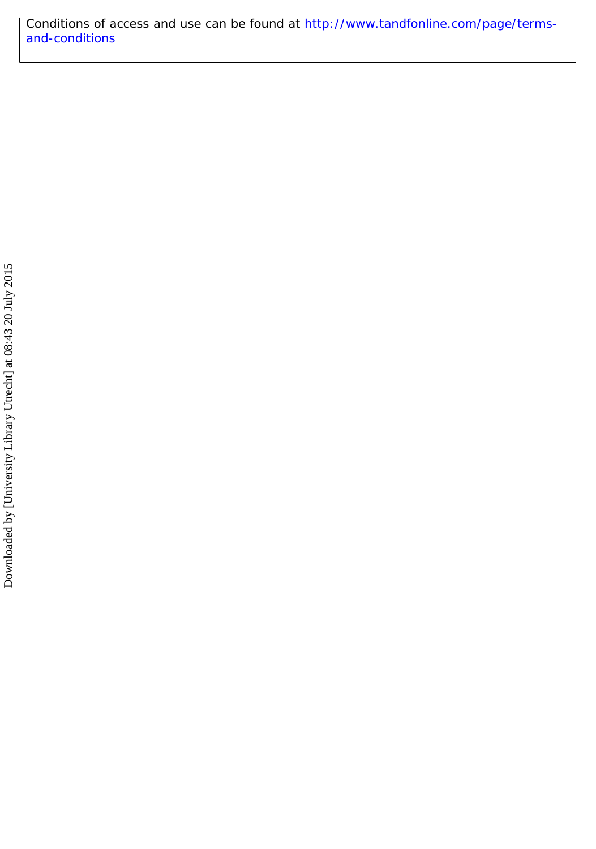Conditions of access and use can be found at [http://www.tandfonline.com/page/terms](http://www.tandfonline.com/page/terms-and-conditions)[and-conditions](http://www.tandfonline.com/page/terms-and-conditions)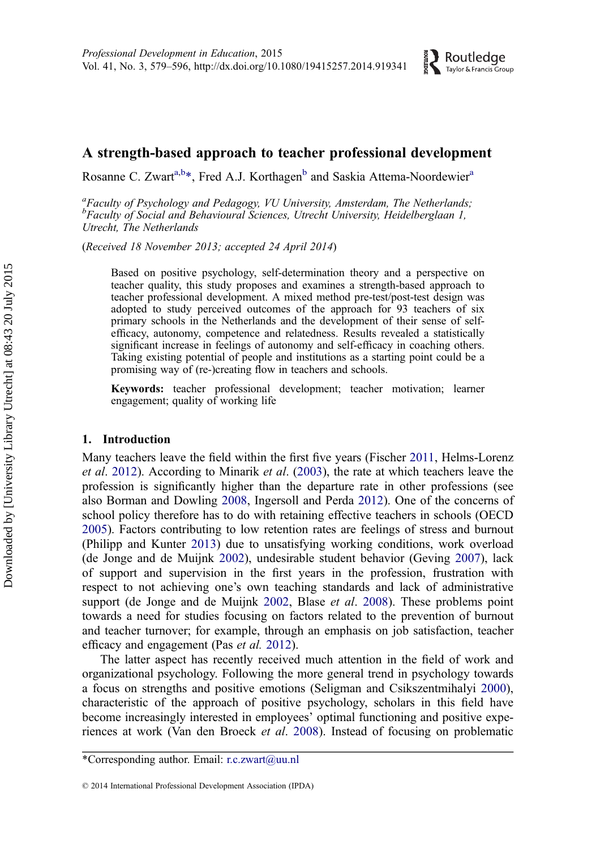# A strength-based approach to teacher professional development

**Example 1** Routledge

Rosanne C. Zwart<sup>a,b\*</sup>, Fred A.J. Korthagen<sup>b</sup> and Saskia Attema-Noordewier<sup>a</sup>

<sup>a</sup> Faculty of Psychology and Pedagogy, VU University, Amsterdam, The Netherlands; <sup>b</sup> Faculty of Social and Behavioural Sciences, Utrecht University, Heidelberglaan 1, Utrecht, The Netherlands

(Received 18 November 2013; accepted 24 April 2014)

Based on positive psychology, self-determination theory and a perspective on teacher quality, this study proposes and examines a strength-based approach to teacher professional development. A mixed method pre-test/post-test design was adopted to study perceived outcomes of the approach for 93 teachers of six primary schools in the Netherlands and the development of their sense of selfefficacy, autonomy, competence and relatedness. Results revealed a statistically significant increase in feelings of autonomy and self-efficacy in coaching others. Taking existing potential of people and institutions as a starting point could be a promising way of (re-)creating flow in teachers and schools.

Keywords: teacher professional development; teacher motivation; learner engagement; quality of working life

#### 1. Introduction

Many teachers leave the field within the first five years (Fischer [2011,](#page-17-0) Helms-Lorenz et al. [2012\)](#page-17-0). According to Minarik et al. [\(2003](#page-18-0)), the rate at which teachers leave the profession is significantly higher than the departure rate in other professions (see also Borman and Dowling [2008,](#page-17-0) Ingersoll and Perda [2012\)](#page-17-0). One of the concerns of school policy therefore has to do with retaining effective teachers in schools (OECD [2005\)](#page-18-0). Factors contributing to low retention rates are feelings of stress and burnout (Philipp and Kunter [2013](#page-18-0)) due to unsatisfying working conditions, work overload (de Jonge and de Muijnk [2002](#page-17-0)), undesirable student behavior (Geving [2007\)](#page-17-0), lack of support and supervision in the first years in the profession, frustration with respect to not achieving one's own teaching standards and lack of administrative support (de Jonge and de Muijnk [2002](#page-17-0), Blase *et al.* [2008](#page-17-0)). These problems point towards a need for studies focusing on factors related to the prevention of burnout and teacher turnover; for example, through an emphasis on job satisfaction, teacher efficacy and engagement (Pas et al. [2012](#page-18-0)).

The latter aspect has recently received much attention in the field of work and organizational psychology. Following the more general trend in psychology towards a focus on strengths and positive emotions (Seligman and Csikszentmihalyi [2000](#page-18-0)), characteristic of the approach of positive psychology, scholars in this field have become increasingly interested in employees' optimal functioning and positive experiences at work (Van den Broeck et al. [2008\)](#page-18-0). Instead of focusing on problematic

<sup>\*</sup>Corresponding author. Email: [r.c.zwart@uu.nl](mailto:r.c.zwart@uu.nl)

<sup>© 2014</sup> International Professional Development Association (IPDA)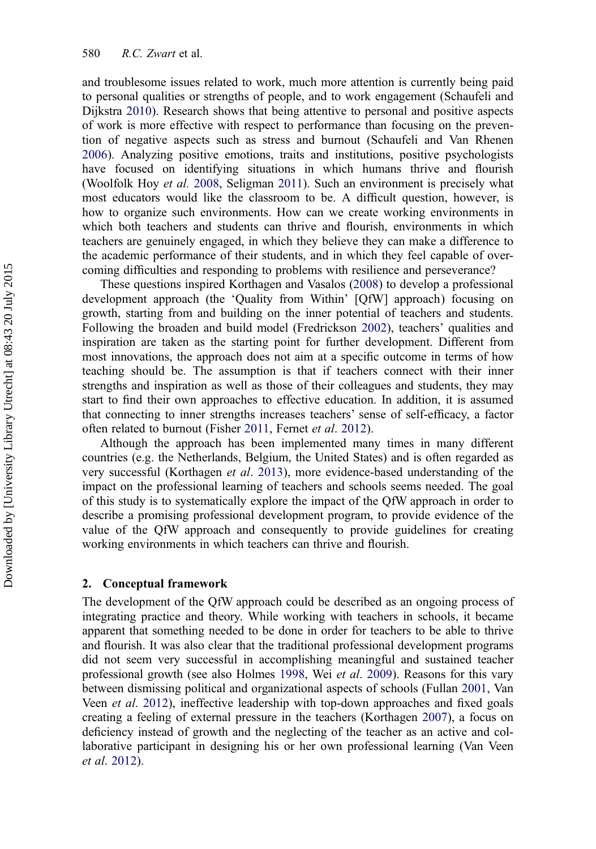and troublesome issues related to work, much more attention is currently being paid to personal qualities or strengths of people, and to work engagement (Schaufeli and Dijkstra [2010\)](#page-18-0). Research shows that being attentive to personal and positive aspects of work is more effective with respect to performance than focusing on the prevention of negative aspects such as stress and burnout (Schaufeli and Van Rhenen [2006\)](#page-18-0). Analyzing positive emotions, traits and institutions, positive psychologists have focused on identifying situations in which humans thrive and flourish (Woolfolk Hoy et al. [2008](#page-19-0), Seligman [2011\)](#page-18-0). Such an environment is precisely what most educators would like the classroom to be. A difficult question, however, is how to organize such environments. How can we create working environments in which both teachers and students can thrive and flourish, environments in which teachers are genuinely engaged, in which they believe they can make a difference to the academic performance of their students, and in which they feel capable of overcoming difficulties and responding to problems with resilience and perseverance?

These questions inspired Korthagen and Vasalos ([2008](#page-18-0)) to develop a professional development approach (the 'Quality from Within' [QfW] approach) focusing on growth, starting from and building on the inner potential of teachers and students. Following the broaden and build model (Fredrickson [2002](#page-17-0)), teachers' qualities and inspiration are taken as the starting point for further development. Different from most innovations, the approach does not aim at a specific outcome in terms of how teaching should be. The assumption is that if teachers connect with their inner strengths and inspiration as well as those of their colleagues and students, they may start to find their own approaches to effective education. In addition, it is assumed that connecting to inner strengths increases teachers' sense of self-efficacy, a factor often related to burnout (Fisher [2011](#page-17-0), Fernet et al. [2012\)](#page-17-0).

Although the approach has been implemented many times in many different countries (e.g. the Netherlands, Belgium, the United States) and is often regarded as very successful (Korthagen et al. [2013\)](#page-18-0), more evidence-based understanding of the impact on the professional learning of teachers and schools seems needed. The goal of this study is to systematically explore the impact of the QfW approach in order to describe a promising professional development program, to provide evidence of the value of the QfW approach and consequently to provide guidelines for creating working environments in which teachers can thrive and flourish.

#### 2. Conceptual framework

The development of the QfW approach could be described as an ongoing process of integrating practice and theory. While working with teachers in schools, it became apparent that something needed to be done in order for teachers to be able to thrive and flourish. It was also clear that the traditional professional development programs did not seem very successful in accomplishing meaningful and sustained teacher professional growth (see also Holmes [1998](#page-17-0), Wei et al. [2009\)](#page-19-0). Reasons for this vary between dismissing political and organizational aspects of schools (Fullan [2001](#page-17-0), Van Veen et al. [2012](#page-19-0)), ineffective leadership with top-down approaches and fixed goals creating a feeling of external pressure in the teachers (Korthagen [2007\)](#page-18-0), a focus on deficiency instead of growth and the neglecting of the teacher as an active and collaborative participant in designing his or her own professional learning (Van Veen et al. [2012](#page-19-0)).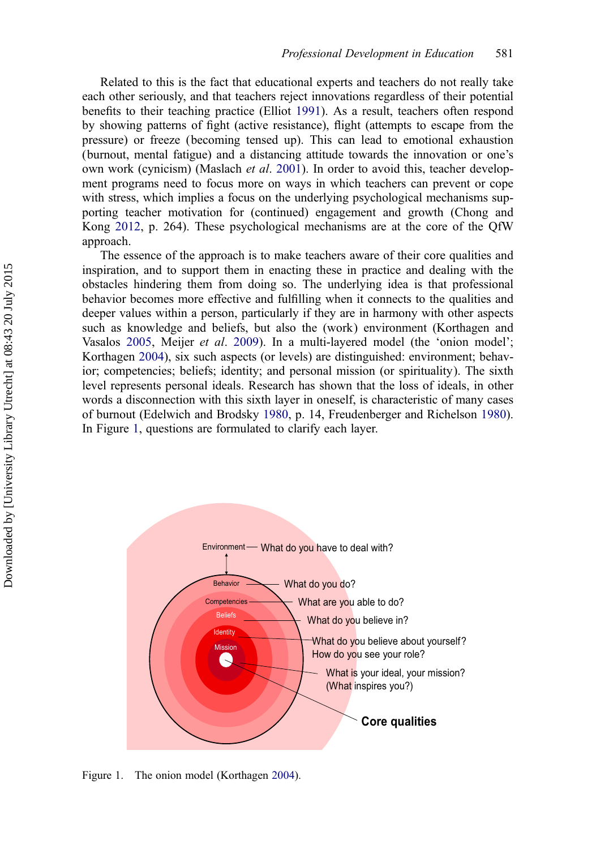<span id="page-4-0"></span>Related to this is the fact that educational experts and teachers do not really take each other seriously, and that teachers reject innovations regardless of their potential benefits to their teaching practice (Elliot [1991\)](#page-17-0). As a result, teachers often respond by showing patterns of fight (active resistance), flight (attempts to escape from the pressure) or freeze (becoming tensed up). This can lead to emotional exhaustion (burnout, mental fatigue) and a distancing attitude towards the innovation or one's own work (cynicism) (Maslach *et al.* [2001\)](#page-18-0). In order to avoid this, teacher development programs need to focus more on ways in which teachers can prevent or cope with stress, which implies a focus on the underlying psychological mechanisms supporting teacher motivation for (continued) engagement and growth (Chong and Kong [2012](#page-17-0), p. 264). These psychological mechanisms are at the core of the QfW approach.

The essence of the approach is to make teachers aware of their core qualities and inspiration, and to support them in enacting these in practice and dealing with the obstacles hindering them from doing so. The underlying idea is that professional behavior becomes more effective and fulfilling when it connects to the qualities and deeper values within a person, particularly if they are in harmony with other aspects such as knowledge and beliefs, but also the (work) environment (Korthagen and Vasalos [2005,](#page-18-0) Meijer et al. [2009](#page-18-0)). In a multi-layered model (the 'onion model'; Korthagen [2004\)](#page-18-0), six such aspects (or levels) are distinguished: environment; behavior; competencies; beliefs; identity; and personal mission (or spirituality). The sixth level represents personal ideals. Research has shown that the loss of ideals, in other words a disconnection with this sixth layer in oneself, is characteristic of many cases of burnout (Edelwich and Brodsky [1980,](#page-17-0) p. 14, Freudenberger and Richelson [1980](#page-17-0)). In Figure 1, questions are formulated to clarify each layer.



Figure 1. The onion model (Korthagen [2004](#page-18-0)).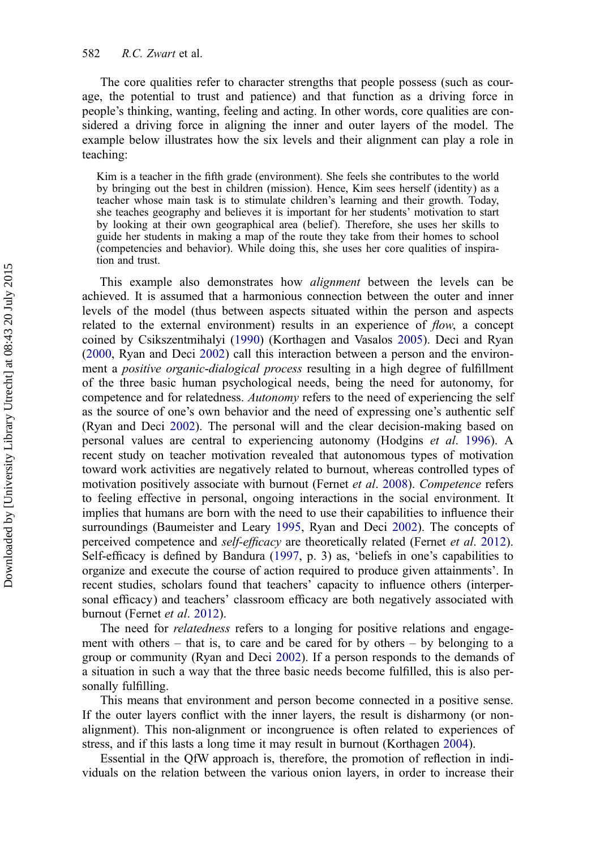The core qualities refer to character strengths that people possess (such as courage, the potential to trust and patience) and that function as a driving force in people's thinking, wanting, feeling and acting. In other words, core qualities are considered a driving force in aligning the inner and outer layers of the model. The example below illustrates how the six levels and their alignment can play a role in teaching:

Kim is a teacher in the fifth grade (environment). She feels she contributes to the world by bringing out the best in children (mission). Hence, Kim sees herself (identity) as a teacher whose main task is to stimulate children's learning and their growth. Today, she teaches geography and believes it is important for her students' motivation to start by looking at their own geographical area (belief). Therefore, she uses her skills to guide her students in making a map of the route they take from their homes to school (competencies and behavior). While doing this, she uses her core qualities of inspiration and trust.

This example also demonstrates how *alignment* between the levels can be achieved. It is assumed that a harmonious connection between the outer and inner levels of the model (thus between aspects situated within the person and aspects related to the external environment) results in an experience of *flow*, a concept coined by Csikszentmihalyi [\(1990](#page-17-0)) (Korthagen and Vasalos [2005](#page-18-0)). Deci and Ryan [\(2000](#page-17-0), Ryan and Deci [2002](#page-18-0)) call this interaction between a person and the environment a *positive organic-dialogical process* resulting in a high degree of fulfillment of the three basic human psychological needs, being the need for autonomy, for competence and for relatedness. Autonomy refers to the need of experiencing the self as the source of one's own behavior and the need of expressing one's authentic self (Ryan and Deci [2002\)](#page-18-0). The personal will and the clear decision-making based on personal values are central to experiencing autonomy (Hodgins et al. [1996](#page-17-0)). A recent study on teacher motivation revealed that autonomous types of motivation toward work activities are negatively related to burnout, whereas controlled types of motivation positively associate with burnout (Fernet et al. [2008\)](#page-17-0). Competence refers to feeling effective in personal, ongoing interactions in the social environment. It implies that humans are born with the need to use their capabilities to influence their surroundings (Baumeister and Leary [1995](#page-16-0), Ryan and Deci [2002\)](#page-18-0). The concepts of perceived competence and *self-efficacy* are theoretically related (Fernet et al. [2012](#page-17-0)). Self-efficacy is defined by Bandura ([1997,](#page-16-0) p. 3) as, 'beliefs in one's capabilities to organize and execute the course of action required to produce given attainments'. In recent studies, scholars found that teachers' capacity to influence others (interpersonal efficacy) and teachers' classroom efficacy are both negatively associated with burnout (Fernet et al. [2012\)](#page-17-0).

The need for *relatedness* refers to a longing for positive relations and engagement with others – that is, to care and be cared for by others – by belonging to a group or community (Ryan and Deci [2002](#page-18-0)). If a person responds to the demands of a situation in such a way that the three basic needs become fulfilled, this is also personally fulfilling.

This means that environment and person become connected in a positive sense. If the outer layers conflict with the inner layers, the result is disharmony (or nonalignment). This non-alignment or incongruence is often related to experiences of stress, and if this lasts a long time it may result in burnout (Korthagen [2004](#page-18-0)).

Essential in the QfW approach is, therefore, the promotion of reflection in individuals on the relation between the various onion layers, in order to increase their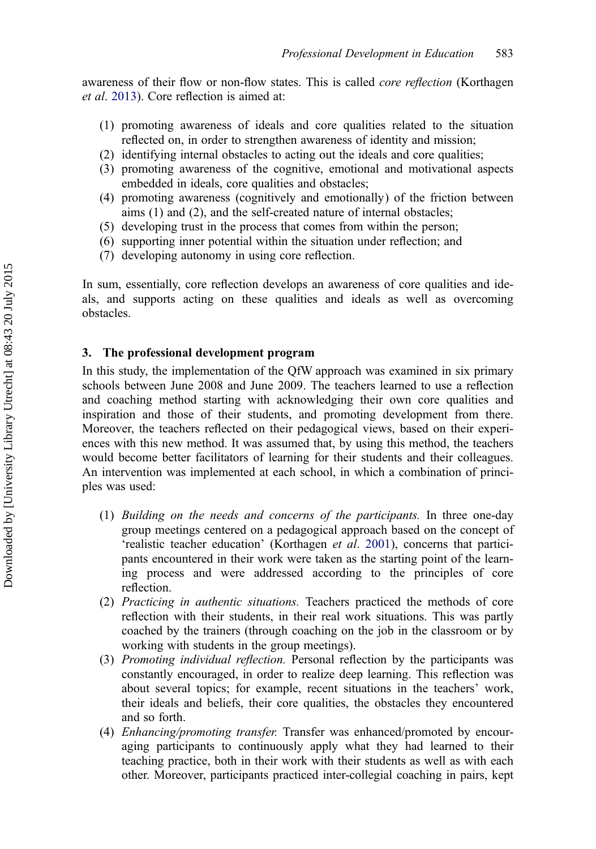awareness of their flow or non-flow states. This is called core reflection (Korthagen et al. [2013](#page-18-0)). Core reflection is aimed at:

- (1) promoting awareness of ideals and core qualities related to the situation reflected on, in order to strengthen awareness of identity and mission;
- (2) identifying internal obstacles to acting out the ideals and core qualities;
- (3) promoting awareness of the cognitive, emotional and motivational aspects embedded in ideals, core qualities and obstacles;
- (4) promoting awareness (cognitively and emotionally) of the friction between aims (1) and (2), and the self-created nature of internal obstacles;
- (5) developing trust in the process that comes from within the person;
- (6) supporting inner potential within the situation under reflection; and
- (7) developing autonomy in using core reflection.

In sum, essentially, core reflection develops an awareness of core qualities and ideals, and supports acting on these qualities and ideals as well as overcoming obstacles.

### 3. The professional development program

In this study, the implementation of the QfW approach was examined in six primary schools between June 2008 and June 2009. The teachers learned to use a reflection and coaching method starting with acknowledging their own core qualities and inspiration and those of their students, and promoting development from there. Moreover, the teachers reflected on their pedagogical views, based on their experiences with this new method. It was assumed that, by using this method, the teachers would become better facilitators of learning for their students and their colleagues. An intervention was implemented at each school, in which a combination of principles was used:

- (1) Building on the needs and concerns of the participants. In three one-day group meetings centered on a pedagogical approach based on the concept of 'realistic teacher education' (Korthagen et al. [2001\)](#page-18-0), concerns that participants encountered in their work were taken as the starting point of the learning process and were addressed according to the principles of core reflection.
- (2) Practicing in authentic situations. Teachers practiced the methods of core reflection with their students, in their real work situations. This was partly coached by the trainers (through coaching on the job in the classroom or by working with students in the group meetings).
- (3) Promoting individual reflection. Personal reflection by the participants was constantly encouraged, in order to realize deep learning. This reflection was about several topics; for example, recent situations in the teachers' work, their ideals and beliefs, their core qualities, the obstacles they encountered and so forth.
- (4) Enhancing/promoting transfer. Transfer was enhanced/promoted by encouraging participants to continuously apply what they had learned to their teaching practice, both in their work with their students as well as with each other. Moreover, participants practiced inter-collegial coaching in pairs, kept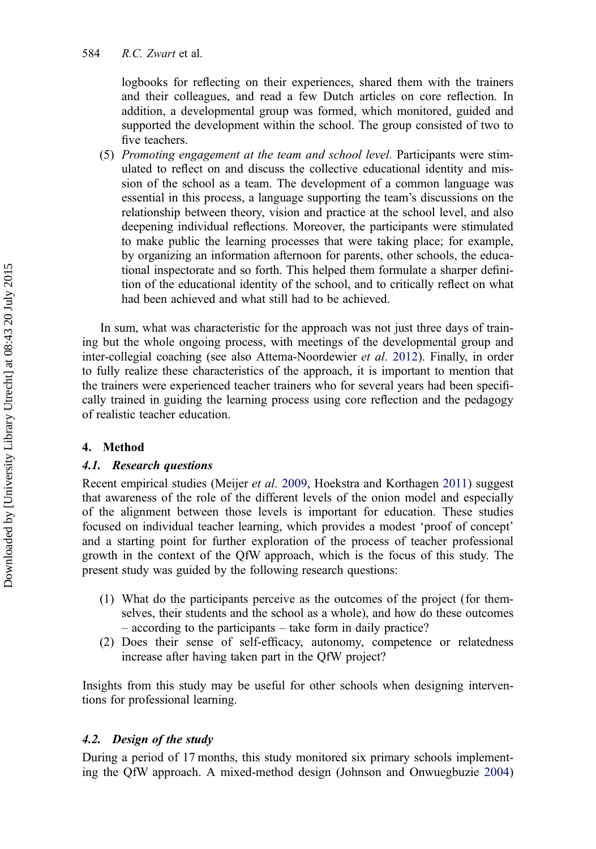logbooks for reflecting on their experiences, shared them with the trainers and their colleagues, and read a few Dutch articles on core reflection. In addition, a developmental group was formed, which monitored, guided and supported the development within the school. The group consisted of two to five teachers.

(5) Promoting engagement at the team and school level. Participants were stimulated to reflect on and discuss the collective educational identity and mission of the school as a team. The development of a common language was essential in this process, a language supporting the team's discussions on the relationship between theory, vision and practice at the school level, and also deepening individual reflections. Moreover, the participants were stimulated to make public the learning processes that were taking place; for example, by organizing an information afternoon for parents, other schools, the educational inspectorate and so forth. This helped them formulate a sharper definition of the educational identity of the school, and to critically reflect on what had been achieved and what still had to be achieved.

In sum, what was characteristic for the approach was not just three days of training but the whole ongoing process, with meetings of the developmental group and inter-collegial coaching (see also Attema-Noordewier et al. [2012](#page-16-0)). Finally, in order to fully realize these characteristics of the approach, it is important to mention that the trainers were experienced teacher trainers who for several years had been specifically trained in guiding the learning process using core reflection and the pedagogy of realistic teacher education.

# 4. Method

# 4.1. Research questions

Recent empirical studies (Meijer *et al.* [2009](#page-18-0), Hoekstra and Korthagen [2011](#page-17-0)) suggest that awareness of the role of the different levels of the onion model and especially of the alignment between those levels is important for education. These studies focused on individual teacher learning, which provides a modest 'proof of concept' and a starting point for further exploration of the process of teacher professional growth in the context of the QfW approach, which is the focus of this study. The present study was guided by the following research questions:

- (1) What do the participants perceive as the outcomes of the project (for themselves, their students and the school as a whole), and how do these outcomes – according to the participants – take form in daily practice?
- (2) Does their sense of self-efficacy, autonomy, competence or relatedness increase after having taken part in the QfW project?

Insights from this study may be useful for other schools when designing interventions for professional learning.

# 4.2. Design of the study

During a period of 17 months, this study monitored six primary schools implementing the QfW approach. A mixed-method design (Johnson and Onwuegbuzie [2004\)](#page-17-0)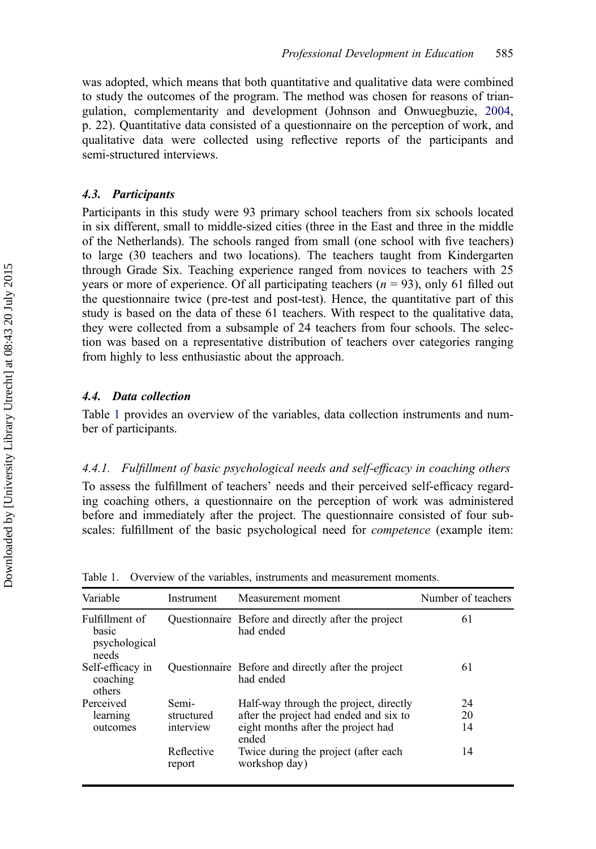was adopted, which means that both quantitative and qualitative data were combined to study the outcomes of the program. The method was chosen for reasons of triangulation, complementarity and development (Johnson and Onwuegbuzie, [2004,](#page-17-0) p. 22). Quantitative data consisted of a questionnaire on the perception of work, and qualitative data were collected using reflective reports of the participants and semi-structured interviews.

#### 4.3. Participants

Participants in this study were 93 primary school teachers from six schools located in six different, small to middle-sized cities (three in the East and three in the middle of the Netherlands). The schools ranged from small (one school with five teachers) to large (30 teachers and two locations). The teachers taught from Kindergarten through Grade Six. Teaching experience ranged from novices to teachers with 25 years or more of experience. Of all participating teachers  $(n = 93)$ , only 61 filled out the questionnaire twice (pre-test and post-test). Hence, the quantitative part of this study is based on the data of these 61 teachers. With respect to the qualitative data, they were collected from a subsample of 24 teachers from four schools. The selection was based on a representative distribution of teachers over categories ranging from highly to less enthusiastic about the approach.

#### 4.4. Data collection

Table 1 provides an overview of the variables, data collection instruments and number of participants.

#### 4.4.1. Fulfillment of basic psychological needs and self-efficacy in coaching others

To assess the fulfillment of teachers' needs and their perceived self-efficacy regarding coaching others, a questionnaire on the perception of work was administered before and immediately after the project. The questionnaire consisted of four subscales: fulfillment of the basic psychological need for competence (example item:

| Variable                                          | Instrument           | Measurement moment                                               | Number of teachers |
|---------------------------------------------------|----------------------|------------------------------------------------------------------|--------------------|
| Fulfillment of<br>basic<br>psychological<br>needs |                      | Questionnaire Before and directly after the project<br>had ended | 61                 |
| Self-efficacy in<br>coaching<br>others            |                      | Questionnaire Before and directly after the project<br>had ended | 61                 |
| Perceived                                         | Semi-                | Half-way through the project, directly                           | 24                 |
| learning                                          | structured           | after the project had ended and six to                           | 20                 |
| outcomes                                          | interview            | eight months after the project had<br>ended                      | 14                 |
|                                                   | Reflective<br>report | Twice during the project (after each<br>workshop day)            | 14                 |

Table 1. Overview of the variables, instruments and measurement moments.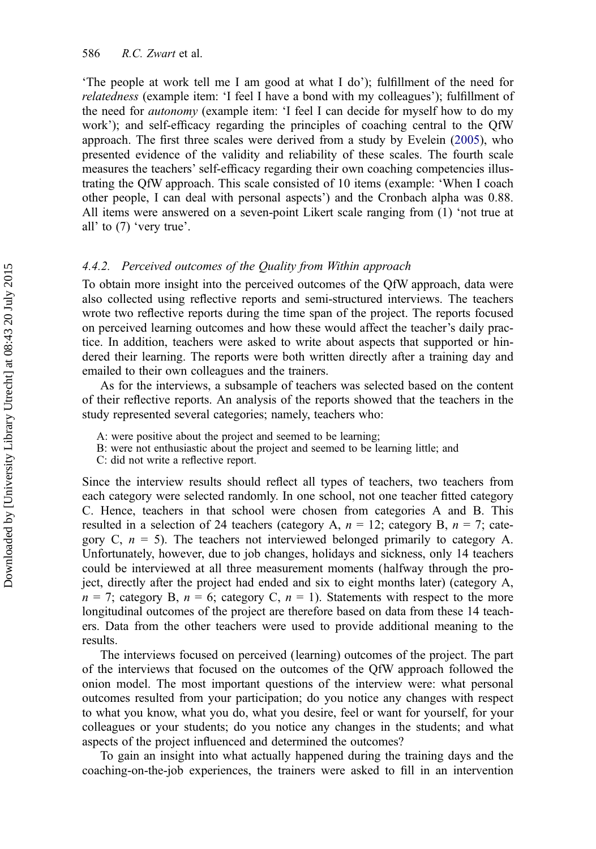'The people at work tell me I am good at what I do'); fulfillment of the need for relatedness (example item: 'I feel I have a bond with my colleagues'); fulfillment of the need for autonomy (example item: 'I feel I can decide for myself how to do my work'); and self-efficacy regarding the principles of coaching central to the QfW approach. The first three scales were derived from a study by Evelein [\(2005](#page-17-0)), who presented evidence of the validity and reliability of these scales. The fourth scale measures the teachers' self-efficacy regarding their own coaching competencies illustrating the QfW approach. This scale consisted of 10 items (example: 'When I coach other people, I can deal with personal aspects') and the Cronbach alpha was 0.88. All items were answered on a seven-point Likert scale ranging from (1) 'not true at all' to (7) 'very true'.

#### 4.4.2. Perceived outcomes of the Quality from Within approach

To obtain more insight into the perceived outcomes of the QfW approach, data were also collected using reflective reports and semi-structured interviews. The teachers wrote two reflective reports during the time span of the project. The reports focused on perceived learning outcomes and how these would affect the teacher's daily practice. In addition, teachers were asked to write about aspects that supported or hindered their learning. The reports were both written directly after a training day and emailed to their own colleagues and the trainers.

As for the interviews, a subsample of teachers was selected based on the content of their reflective reports. An analysis of the reports showed that the teachers in the study represented several categories; namely, teachers who:

A: were positive about the project and seemed to be learning;

B: were not enthusiastic about the project and seemed to be learning little; and

C: did not write a reflective report.

Since the interview results should reflect all types of teachers, two teachers from each category were selected randomly. In one school, not one teacher fitted category C. Hence, teachers in that school were chosen from categories A and B. This resulted in a selection of 24 teachers (category A,  $n = 12$ ; category B,  $n = 7$ ; category C,  $n = 5$ ). The teachers not interviewed belonged primarily to category A. Unfortunately, however, due to job changes, holidays and sickness, only 14 teachers could be interviewed at all three measurement moments (halfway through the project, directly after the project had ended and six to eight months later) (category A,  $n = 7$ ; category B,  $n = 6$ ; category C,  $n = 1$ ). Statements with respect to the more longitudinal outcomes of the project are therefore based on data from these 14 teachers. Data from the other teachers were used to provide additional meaning to the results.

The interviews focused on perceived (learning) outcomes of the project. The part of the interviews that focused on the outcomes of the QfW approach followed the onion model. The most important questions of the interview were: what personal outcomes resulted from your participation; do you notice any changes with respect to what you know, what you do, what you desire, feel or want for yourself, for your colleagues or your students; do you notice any changes in the students; and what aspects of the project influenced and determined the outcomes?

To gain an insight into what actually happened during the training days and the coaching-on-the-job experiences, the trainers were asked to fill in an intervention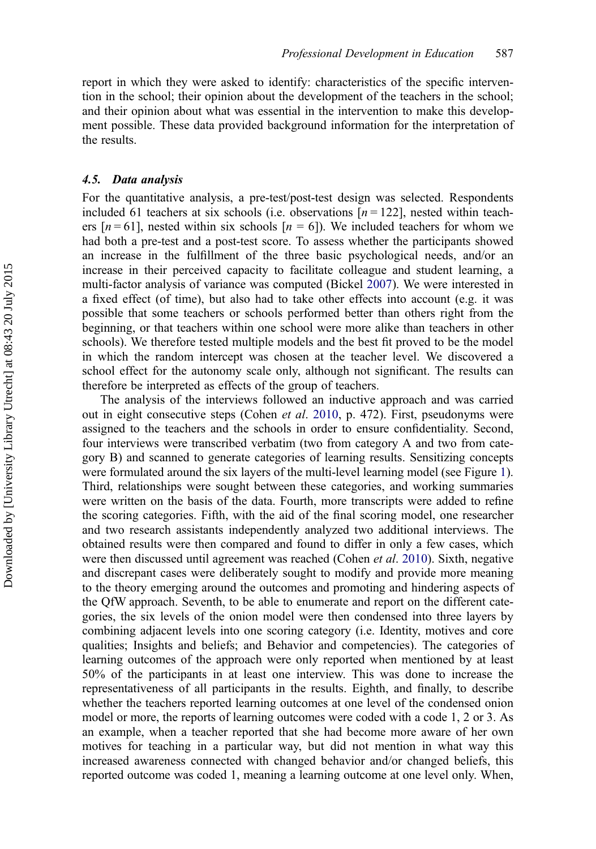report in which they were asked to identify: characteristics of the specific intervention in the school; their opinion about the development of the teachers in the school; and their opinion about what was essential in the intervention to make this development possible. These data provided background information for the interpretation of the results.

#### 4.5. Data analysis

For the quantitative analysis, a pre-test/post-test design was selected. Respondents included 61 teachers at six schools (i.e. observations  $[n = 122]$ , nested within teachers  $[n=61]$ , nested within six schools  $[n=6]$ ). We included teachers for whom we had both a pre-test and a post-test score. To assess whether the participants showed an increase in the fulfillment of the three basic psychological needs, and/or an increase in their perceived capacity to facilitate colleague and student learning, a multi-factor analysis of variance was computed (Bickel [2007\)](#page-17-0). We were interested in a fixed effect (of time), but also had to take other effects into account (e.g. it was possible that some teachers or schools performed better than others right from the beginning, or that teachers within one school were more alike than teachers in other schools). We therefore tested multiple models and the best fit proved to be the model in which the random intercept was chosen at the teacher level. We discovered a school effect for the autonomy scale only, although not significant. The results can therefore be interpreted as effects of the group of teachers.

The analysis of the interviews followed an inductive approach and was carried out in eight consecutive steps (Cohen et al. [2010](#page-17-0), p. 472). First, pseudonyms were assigned to the teachers and the schools in order to ensure confidentiality. Second, four interviews were transcribed verbatim (two from category A and two from category B) and scanned to generate categories of learning results. Sensitizing concepts were formulated around the six layers of the multi-level learning model (see Figure [1](#page-4-0)). Third, relationships were sought between these categories, and working summaries were written on the basis of the data. Fourth, more transcripts were added to refine the scoring categories. Fifth, with the aid of the final scoring model, one researcher and two research assistants independently analyzed two additional interviews. The obtained results were then compared and found to differ in only a few cases, which were then discussed until agreement was reached (Cohen *et al.* [2010\)](#page-17-0). Sixth, negative and discrepant cases were deliberately sought to modify and provide more meaning to the theory emerging around the outcomes and promoting and hindering aspects of the QfW approach. Seventh, to be able to enumerate and report on the different categories, the six levels of the onion model were then condensed into three layers by combining adjacent levels into one scoring category (i.e. Identity, motives and core qualities; Insights and beliefs; and Behavior and competencies). The categories of learning outcomes of the approach were only reported when mentioned by at least 50% of the participants in at least one interview. This was done to increase the representativeness of all participants in the results. Eighth, and finally, to describe whether the teachers reported learning outcomes at one level of the condensed onion model or more, the reports of learning outcomes were coded with a code 1, 2 or 3. As an example, when a teacher reported that she had become more aware of her own motives for teaching in a particular way, but did not mention in what way this increased awareness connected with changed behavior and/or changed beliefs, this reported outcome was coded 1, meaning a learning outcome at one level only. When,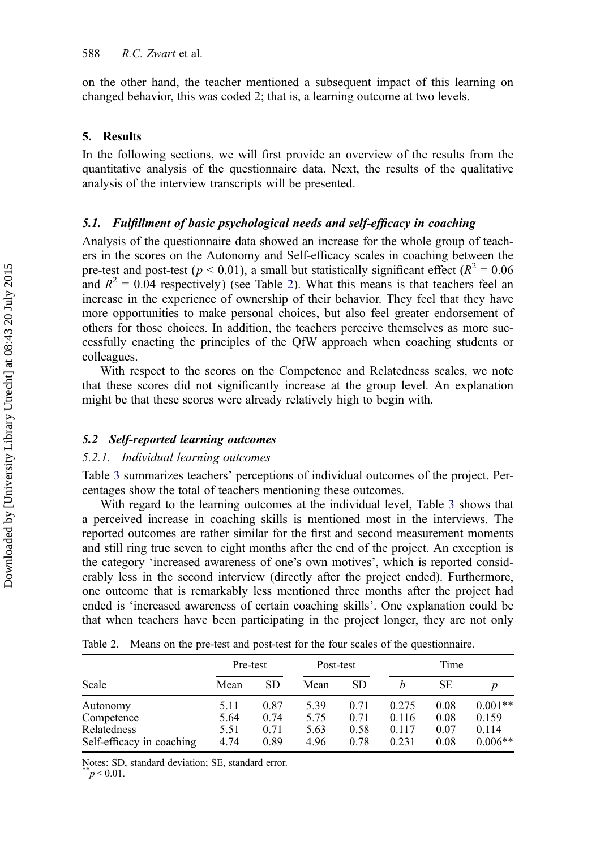on the other hand, the teacher mentioned a subsequent impact of this learning on changed behavior, this was coded 2; that is, a learning outcome at two levels.

#### 5. Results

In the following sections, we will first provide an overview of the results from the quantitative analysis of the questionnaire data. Next, the results of the qualitative analysis of the interview transcripts will be presented.

#### 5.1. Fulfillment of basic psychological needs and self-efficacy in coaching

Analysis of the questionnaire data showed an increase for the whole group of teachers in the scores on the Autonomy and Self-efficacy scales in coaching between the pre-test and post-test ( $p < 0.01$ ), a small but statistically significant effect ( $R^2 = 0.06$ ) and  $R^2 = 0.04$  respectively) (see Table 2). What this means is that teachers feel an increase in the experience of ownership of their behavior. They feel that they have more opportunities to make personal choices, but also feel greater endorsement of others for those choices. In addition, the teachers perceive themselves as more successfully enacting the principles of the QfW approach when coaching students or colleagues.

With respect to the scores on the Competence and Relatedness scales, we note that these scores did not significantly increase at the group level. An explanation might be that these scores were already relatively high to begin with.

#### 5.2 Self-reported learning outcomes

#### 5.2.1. Individual learning outcomes

Table [3](#page-12-0) summarizes teachers' perceptions of individual outcomes of the project. Percentages show the total of teachers mentioning these outcomes.

With regard to the learning outcomes at the individual level, Table [3](#page-12-0) shows that a perceived increase in coaching skills is mentioned most in the interviews. The reported outcomes are rather similar for the first and second measurement moments and still ring true seven to eight months after the end of the project. An exception is the category 'increased awareness of one's own motives', which is reported considerably less in the second interview (directly after the project ended). Furthermore, one outcome that is remarkably less mentioned three months after the project had ended is 'increased awareness of certain coaching skills'. One explanation could be that when teachers have been participating in the project longer, they are not only

|                                                                    | Pre-test                     |                              | Post-test                    |                              | Time                             |                              |                                          |
|--------------------------------------------------------------------|------------------------------|------------------------------|------------------------------|------------------------------|----------------------------------|------------------------------|------------------------------------------|
| Scale                                                              | Mean                         | <b>SD</b>                    | Mean                         | SD                           | h                                | <b>SE</b>                    |                                          |
| Autonomy<br>Competence<br>Relatedness<br>Self-efficacy in coaching | 5.11<br>5.64<br>5.51<br>4.74 | 0.87<br>0.74<br>0.71<br>0.89 | 5.39<br>5.75<br>5.63<br>4.96 | 0.71<br>0.71<br>0.58<br>0.78 | 0.275<br>0.116<br>0.117<br>0.231 | 0.08<br>0.08<br>0.07<br>0.08 | $0.001**$<br>0.159<br>0.114<br>$0.006**$ |

Table 2. Means on the pre-test and post-test for the four scales of the questionnaire.

Notes: SD, standard deviation; SE, standard error.

 $p < 0.01$ .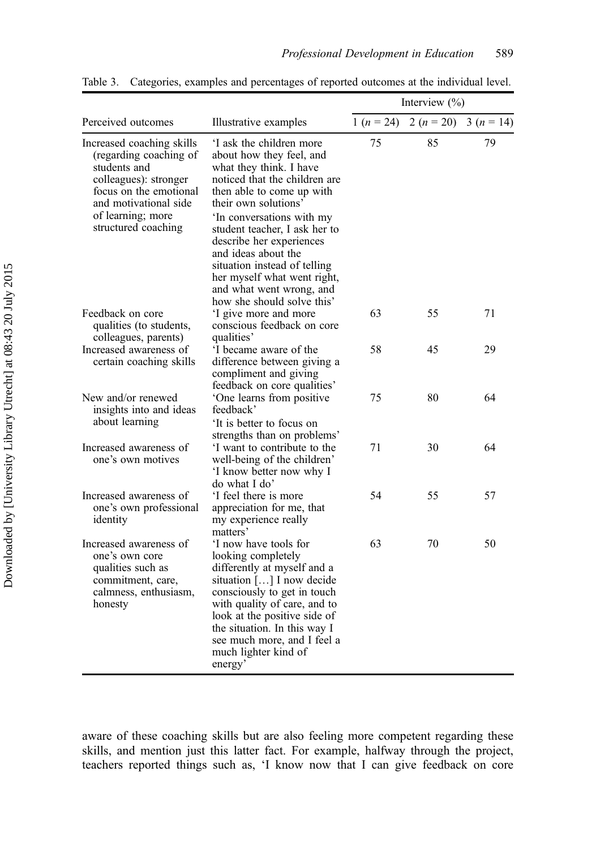|                                                                                                                                                                                             |                                                                                                                                                                                                                                                                                                                                                                                  | Interview $(\%)$ |                           |             |  |
|---------------------------------------------------------------------------------------------------------------------------------------------------------------------------------------------|----------------------------------------------------------------------------------------------------------------------------------------------------------------------------------------------------------------------------------------------------------------------------------------------------------------------------------------------------------------------------------|------------------|---------------------------|-------------|--|
| Perceived outcomes                                                                                                                                                                          | Illustrative examples                                                                                                                                                                                                                                                                                                                                                            |                  | 1 $(n = 24)$ 2 $(n = 20)$ | $3(n = 14)$ |  |
| Increased coaching skills<br>(regarding coaching of<br>students and<br>colleagues): stronger<br>focus on the emotional<br>and motivational side<br>of learning; more<br>structured coaching | I ask the children more<br>about how they feel, and<br>what they think. I have<br>noticed that the children are<br>then able to come up with<br>their own solutions'<br>'In conversations with my<br>student teacher, I ask her to<br>describe her experiences<br>and ideas about the<br>situation instead of telling<br>her myself what went right,<br>and what went wrong, and | 75               | 85                        | 79          |  |
| Feedback on core<br>qualities (to students,<br>colleagues, parents)                                                                                                                         | how she should solve this'<br>I give more and more<br>conscious feedback on core<br>qualities'                                                                                                                                                                                                                                                                                   | 63               | 55                        | 71          |  |
| Increased awareness of<br>certain coaching skills                                                                                                                                           | I became aware of the<br>difference between giving a<br>compliment and giving<br>feedback on core qualities'                                                                                                                                                                                                                                                                     | 58               | 45                        | 29          |  |
| New and/or renewed<br>insights into and ideas<br>about learning                                                                                                                             | 'One learns from positive<br>feedback'<br>It is better to focus on<br>strengths than on problems'                                                                                                                                                                                                                                                                                | 75               | 80                        | 64          |  |
| Increased awareness of<br>one's own motives                                                                                                                                                 | I want to contribute to the<br>well-being of the children'<br>'I know better now why I<br>do what I do'                                                                                                                                                                                                                                                                          | 71               | 30                        | 64          |  |
| Increased awareness of<br>one's own professional<br>identity                                                                                                                                | I feel there is more<br>appreciation for me, that<br>my experience really<br>matters'                                                                                                                                                                                                                                                                                            | 54               | 55                        | 57          |  |
| Increased awareness of<br>one's own core<br>qualities such as<br>commitment, care,<br>calmness, enthusiasm,<br>honesty                                                                      | I now have tools for<br>looking completely<br>differently at myself and a<br>situation [] I now decide<br>consciously to get in touch<br>with quality of care, and to<br>look at the positive side of<br>the situation. In this way I<br>see much more, and I feel a<br>much lighter kind of<br>energy'                                                                          | 63               | 70                        | 50          |  |

<span id="page-12-0"></span>Table 3. Categories, examples and percentages of reported outcomes at the individual level.

aware of these coaching skills but are also feeling more competent regarding these skills, and mention just this latter fact. For example, halfway through the project, teachers reported things such as, 'I know now that I can give feedback on core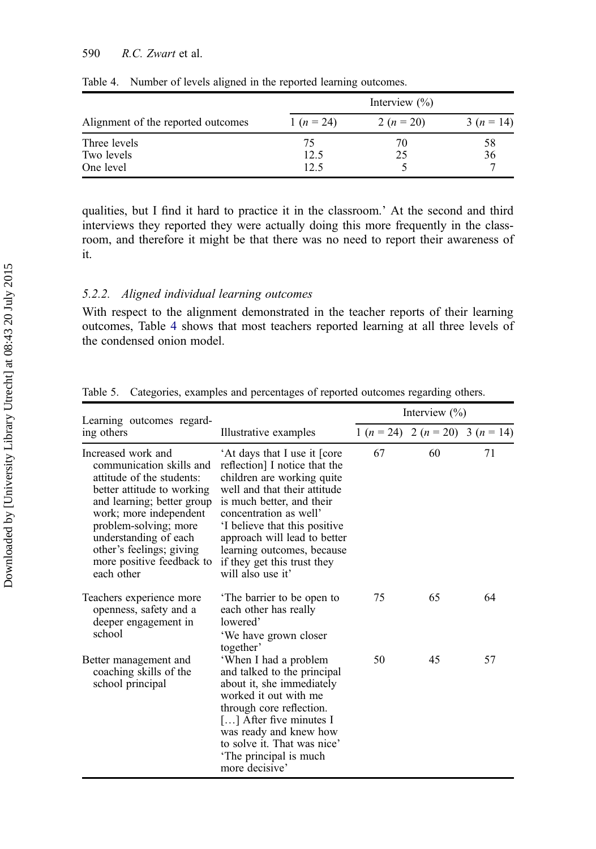|                                    | Interview $\left(\frac{0}{0}\right)$ |           |             |  |  |
|------------------------------------|--------------------------------------|-----------|-------------|--|--|
| Alignment of the reported outcomes | 1 $(n = 24)$                         | $2(n=20)$ | $3(n = 14)$ |  |  |
| Three levels                       | 75.                                  | 70        | 58          |  |  |
| Two levels                         | 12.5                                 | 25        | 36          |  |  |
| One level                          | 12.5                                 |           |             |  |  |

<span id="page-13-0"></span>

| Table 4. Number of levels aligned in the reported learning outcomes. |  |  |  |  |  |
|----------------------------------------------------------------------|--|--|--|--|--|
|----------------------------------------------------------------------|--|--|--|--|--|

qualities, but I find it hard to practice it in the classroom.' At the second and third interviews they reported they were actually doing this more frequently in the classroom, and therefore it might be that there was no need to report their awareness of it.

### 5.2.2. Aligned individual learning outcomes

With respect to the alignment demonstrated in the teacher reports of their learning outcomes, Table 4 shows that most teachers reported learning at all three levels of the condensed onion model.

| Learning outcomes regard-                                                                                                                                                                                                                                                                  |                                                                                                                                                                                                                                                                                                                                      |    | Interview $\left(\frac{0}{0}\right)$ |    |  |  |
|--------------------------------------------------------------------------------------------------------------------------------------------------------------------------------------------------------------------------------------------------------------------------------------------|--------------------------------------------------------------------------------------------------------------------------------------------------------------------------------------------------------------------------------------------------------------------------------------------------------------------------------------|----|--------------------------------------|----|--|--|
| ing others                                                                                                                                                                                                                                                                                 | Illustrative examples                                                                                                                                                                                                                                                                                                                |    | $1 (n = 24) 2 (n = 20) 3 (n = 14)$   |    |  |  |
| Increased work and<br>communication skills and<br>attitude of the students:<br>better attitude to working<br>and learning; better group<br>work; more independent<br>problem-solving; more<br>understanding of each<br>other's feelings; giving<br>more positive feedback to<br>each other | At days that I use it [core]<br>reflection] I notice that the<br>children are working quite<br>well and that their attitude<br>is much better, and their<br>concentration as well'<br>I believe that this positive<br>approach will lead to better<br>learning outcomes, because<br>if they get this trust they<br>will also use it' | 67 | 60                                   | 71 |  |  |
| Teachers experience more<br>openness, safety and a<br>deeper engagement in<br>school                                                                                                                                                                                                       | The barrier to be open to<br>each other has really<br>lowered'<br>'We have grown closer<br>together'                                                                                                                                                                                                                                 | 75 | 65                                   | 64 |  |  |
| Better management and<br>coaching skills of the<br>school principal                                                                                                                                                                                                                        | 'When I had a problem<br>and talked to the principal<br>about it, she immediately<br>worked it out with me<br>through core reflection.<br>[] After five minutes I<br>was ready and knew how<br>to solve it. That was nice'<br>The principal is much<br>more decisive'                                                                | 50 | 45                                   | 57 |  |  |

Table 5. Categories, examples and percentages of reported outcomes regarding others.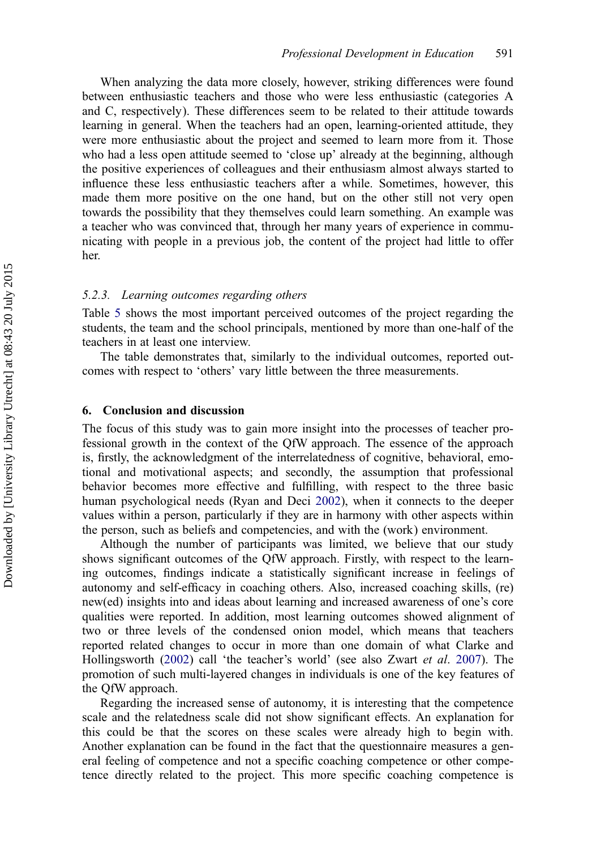When analyzing the data more closely, however, striking differences were found between enthusiastic teachers and those who were less enthusiastic (categories A and C, respectively). These differences seem to be related to their attitude towards learning in general. When the teachers had an open, learning-oriented attitude, they were more enthusiastic about the project and seemed to learn more from it. Those who had a less open attitude seemed to 'close up' already at the beginning, although the positive experiences of colleagues and their enthusiasm almost always started to influence these less enthusiastic teachers after a while. Sometimes, however, this made them more positive on the one hand, but on the other still not very open towards the possibility that they themselves could learn something. An example was a teacher who was convinced that, through her many years of experience in communicating with people in a previous job, the content of the project had little to offer her.

#### 5.2.3. Learning outcomes regarding others

Table [5](#page-13-0) shows the most important perceived outcomes of the project regarding the students, the team and the school principals, mentioned by more than one-half of the teachers in at least one interview.

The table demonstrates that, similarly to the individual outcomes, reported outcomes with respect to 'others' vary little between the three measurements.

#### 6. Conclusion and discussion

The focus of this study was to gain more insight into the processes of teacher professional growth in the context of the QfW approach. The essence of the approach is, firstly, the acknowledgment of the interrelatedness of cognitive, behavioral, emotional and motivational aspects; and secondly, the assumption that professional behavior becomes more effective and fulfilling, with respect to the three basic human psychological needs (Ryan and Deci [2002](#page-18-0)), when it connects to the deeper values within a person, particularly if they are in harmony with other aspects within the person, such as beliefs and competencies, and with the (work) environment.

Although the number of participants was limited, we believe that our study shows significant outcomes of the QfW approach. Firstly, with respect to the learning outcomes, findings indicate a statistically significant increase in feelings of autonomy and self-efficacy in coaching others. Also, increased coaching skills, (re) new(ed) insights into and ideas about learning and increased awareness of one's core qualities were reported. In addition, most learning outcomes showed alignment of two or three levels of the condensed onion model, which means that teachers reported related changes to occur in more than one domain of what Clarke and Hollingsworth ([2002\)](#page-17-0) call 'the teacher's world' (see also Zwart et al. [2007](#page-19-0)). The promotion of such multi-layered changes in individuals is one of the key features of the QfW approach.

Regarding the increased sense of autonomy, it is interesting that the competence scale and the relatedness scale did not show significant effects. An explanation for this could be that the scores on these scales were already high to begin with. Another explanation can be found in the fact that the questionnaire measures a general feeling of competence and not a specific coaching competence or other competence directly related to the project. This more specific coaching competence is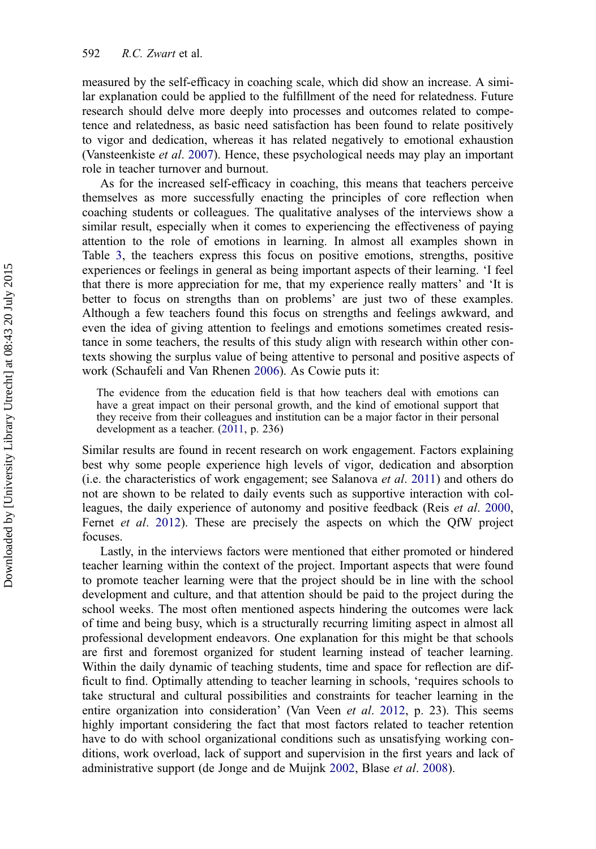measured by the self-efficacy in coaching scale, which did show an increase. A similar explanation could be applied to the fulfillment of the need for relatedness. Future research should delve more deeply into processes and outcomes related to competence and relatedness, as basic need satisfaction has been found to relate positively to vigor and dedication, whereas it has related negatively to emotional exhaustion (Vansteenkiste et al. [2007\)](#page-19-0). Hence, these psychological needs may play an important role in teacher turnover and burnout.

As for the increased self-efficacy in coaching, this means that teachers perceive themselves as more successfully enacting the principles of core reflection when coaching students or colleagues. The qualitative analyses of the interviews show a similar result, especially when it comes to experiencing the effectiveness of paying attention to the role of emotions in learning. In almost all examples shown in Table [3](#page-12-0), the teachers express this focus on positive emotions, strengths, positive experiences or feelings in general as being important aspects of their learning. 'I feel that there is more appreciation for me, that my experience really matters' and 'It is better to focus on strengths than on problems' are just two of these examples. Although a few teachers found this focus on strengths and feelings awkward, and even the idea of giving attention to feelings and emotions sometimes created resistance in some teachers, the results of this study align with research within other contexts showing the surplus value of being attentive to personal and positive aspects of work (Schaufeli and Van Rhenen [2006](#page-18-0)). As Cowie puts it:

The evidence from the education field is that how teachers deal with emotions can have a great impact on their personal growth, and the kind of emotional support that they receive from their colleagues and institution can be a major factor in their personal development as a teacher. ([2011](#page-17-0), p. 236)

Similar results are found in recent research on work engagement. Factors explaining best why some people experience high levels of vigor, dedication and absorption (i.e. the characteristics of work engagement; see Salanova *et al.* [2011](#page-18-0)) and others do not are shown to be related to daily events such as supportive interaction with colleagues, the daily experience of autonomy and positive feedback (Reis et al. [2000,](#page-18-0) Fernet *et al.* [2012\)](#page-17-0). These are precisely the aspects on which the QfW project focuses.

Lastly, in the interviews factors were mentioned that either promoted or hindered teacher learning within the context of the project. Important aspects that were found to promote teacher learning were that the project should be in line with the school development and culture, and that attention should be paid to the project during the school weeks. The most often mentioned aspects hindering the outcomes were lack of time and being busy, which is a structurally recurring limiting aspect in almost all professional development endeavors. One explanation for this might be that schools are first and foremost organized for student learning instead of teacher learning. Within the daily dynamic of teaching students, time and space for reflection are difficult to find. Optimally attending to teacher learning in schools, 'requires schools to take structural and cultural possibilities and constraints for teacher learning in the entire organization into consideration' (Van Veen *et al.* [2012,](#page-19-0) p. 23). This seems highly important considering the fact that most factors related to teacher retention have to do with school organizational conditions such as unsatisfying working conditions, work overload, lack of support and supervision in the first years and lack of administrative support (de Jonge and de Muijnk [2002,](#page-17-0) Blase et al. [2008\)](#page-17-0).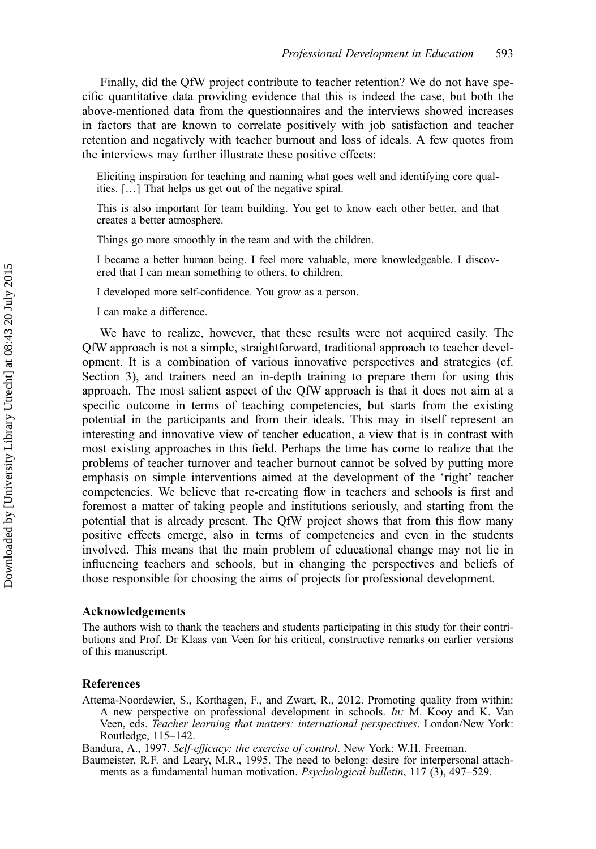<span id="page-16-0"></span>Finally, did the QfW project contribute to teacher retention? We do not have specific quantitative data providing evidence that this is indeed the case, but both the above-mentioned data from the questionnaires and the interviews showed increases in factors that are known to correlate positively with job satisfaction and teacher retention and negatively with teacher burnout and loss of ideals. A few quotes from the interviews may further illustrate these positive effects:

Eliciting inspiration for teaching and naming what goes well and identifying core qualities. […] That helps us get out of the negative spiral.

This is also important for team building. You get to know each other better, and that creates a better atmosphere.

Things go more smoothly in the team and with the children.

I became a better human being. I feel more valuable, more knowledgeable. I discovered that I can mean something to others, to children.

I developed more self-confidence. You grow as a person.

I can make a difference.

We have to realize, however, that these results were not acquired easily. The QfW approach is not a simple, straightforward, traditional approach to teacher development. It is a combination of various innovative perspectives and strategies (cf. Section 3), and trainers need an in-depth training to prepare them for using this approach. The most salient aspect of the QfW approach is that it does not aim at a specific outcome in terms of teaching competencies, but starts from the existing potential in the participants and from their ideals. This may in itself represent an interesting and innovative view of teacher education, a view that is in contrast with most existing approaches in this field. Perhaps the time has come to realize that the problems of teacher turnover and teacher burnout cannot be solved by putting more emphasis on simple interventions aimed at the development of the 'right' teacher competencies. We believe that re-creating flow in teachers and schools is first and foremost a matter of taking people and institutions seriously, and starting from the potential that is already present. The QfW project shows that from this flow many positive effects emerge, also in terms of competencies and even in the students involved. This means that the main problem of educational change may not lie in influencing teachers and schools, but in changing the perspectives and beliefs of those responsible for choosing the aims of projects for professional development.

#### Acknowledgements

The authors wish to thank the teachers and students participating in this study for their contributions and Prof. Dr Klaas van Veen for his critical, constructive remarks on earlier versions of this manuscript.

#### References

Attema-Noordewier, S., Korthagen, F., and Zwart, R., 2012. Promoting quality from within: A new perspective on professional development in schools. In: M. Kooy and K. Van Veen, eds. Teacher learning that matters: international perspectives. London/New York: Routledge, 115–142.

Bandura, A., 1997. Self-efficacy: the exercise of control. New York: W.H. Freeman.

Baumeister, R.F. and Leary, M.R., 1995. The need to belong: desire for interpersonal attachments as a fundamental human motivation. *Psychological bulletin*, 117 (3), 497–529.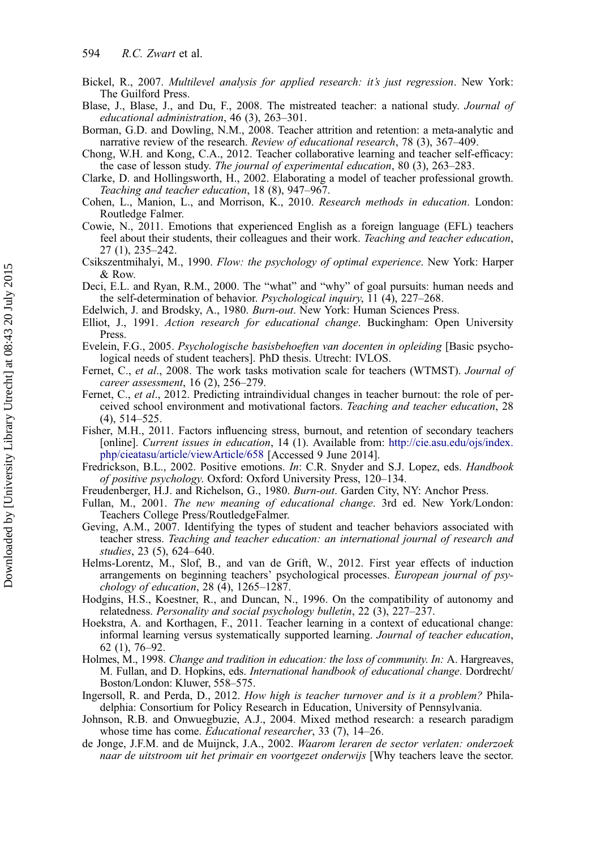- <span id="page-17-0"></span>Bickel, R., 2007. Multilevel analysis for applied research: it's just regression. New York: The Guilford Press.
- Blase, J., Blase, J., and Du, F., 2008. The mistreated teacher: a national study. Journal of educational administration, 46 (3), 263–301.
- Borman, G.D. and Dowling, N.M., 2008. Teacher attrition and retention: a meta-analytic and narrative review of the research. Review of educational research, 78 (3), 367-409.
- Chong, W.H. and Kong, C.A., 2012. Teacher collaborative learning and teacher self-efficacy: the case of lesson study. The journal of experimental education, 80 (3), 263–283.
- Clarke, D. and Hollingsworth, H., 2002. Elaborating a model of teacher professional growth. Teaching and teacher education, 18 (8), 947–967.
- Cohen, L., Manion, L., and Morrison, K., 2010. Research methods in education. London: Routledge Falmer.
- Cowie, N., 2011. Emotions that experienced English as a foreign language (EFL) teachers feel about their students, their colleagues and their work. Teaching and teacher education, 27 (1), 235–242.
- Csikszentmihalyi, M., 1990. Flow: the psychology of optimal experience. New York: Harper & Row.
- Deci, E.L. and Ryan, R.M., 2000. The "what" and "why" of goal pursuits: human needs and the self-determination of behavior. Psychological inquiry, 11 (4), 227–268.
- Edelwich, J. and Brodsky, A., 1980. Burn-out. New York: Human Sciences Press.
- Elliot, J., 1991. Action research for educational change. Buckingham: Open University Press.
- Evelein, F.G., 2005. Psychologische basisbehoeften van docenten in opleiding [Basic psychological needs of student teachers]. PhD thesis. Utrecht: IVLOS.
- Fernet, C., et al., 2008. The work tasks motivation scale for teachers (WTMST). Journal of career assessment, 16 (2), 256–279.
- Fernet, C., et al., 2012. Predicting intraindividual changes in teacher burnout: the role of perceived school environment and motivational factors. Teaching and teacher education, 28 (4), 514–525.
- Fisher, M.H., 2011. Factors influencing stress, burnout, and retention of secondary teachers [online]. Current issues in education, 14 (1). Available from: [http://cie.asu.edu/ojs/index.](http://cie.asu.edu/ojs/index.php/cieatasu/article/viewArticle/658) [php/cieatasu/article/viewArticle/658](http://cie.asu.edu/ojs/index.php/cieatasu/article/viewArticle/658) [Accessed 9 June 2014].
- Fredrickson, B.L., 2002. Positive emotions. In: C.R. Snyder and S.J. Lopez, eds. Handbook of positive psychology. Oxford: Oxford University Press, 120–134.
- Freudenberger, H.J. and Richelson, G., 1980. Burn-out. Garden City, NY: Anchor Press.
- Fullan, M., 2001. The new meaning of educational change. 3rd ed. New York/London: Teachers College Press/RoutledgeFalmer.
- Geving, A.M., 2007. Identifying the types of student and teacher behaviors associated with teacher stress. Teaching and teacher education: an international journal of research and studies, 23 (5), 624–640.
- Helms-Lorentz, M., Slof, B., and van de Grift, W., 2012. First year effects of induction arrangements on beginning teachers' psychological processes. European journal of psychology of education, 28 (4), 1265–1287.
- Hodgins, H.S., Koestner, R., and Duncan, N., 1996. On the compatibility of autonomy and relatedness. Personality and social psychology bulletin, 22 (3), 227–237.
- Hoekstra, A. and Korthagen, F., 2011. Teacher learning in a context of educational change: informal learning versus systematically supported learning. Journal of teacher education, 62 (1), 76–92.
- Holmes, M., 1998. Change and tradition in education: the loss of community. In: A. Hargreaves, M. Fullan, and D. Hopkins, eds. International handbook of educational change. Dordrecht/ Boston/London: Kluwer, 558–575.
- Ingersoll, R. and Perda, D., 2012. How high is teacher turnover and is it a problem? Philadelphia: Consortium for Policy Research in Education, University of Pennsylvania.
- Johnson, R.B. and Onwuegbuzie, A.J., 2004. Mixed method research: a research paradigm whose time has come. *Educational researcher*, 33 (7), 14–26.
- de Jonge, J.F.M. and de Muijnck, J.A., 2002. Waarom leraren de sector verlaten: onderzoek naar de uitstroom uit het primair en voortgezet onderwijs [Why teachers leave the sector.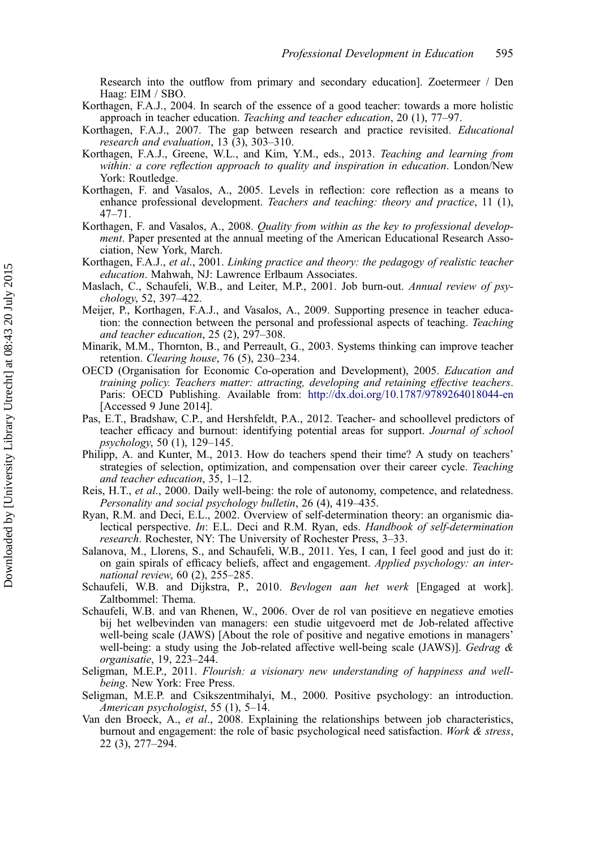<span id="page-18-0"></span>Research into the outflow from primary and secondary education]. Zoetermeer / Den Haag: EIM / SBO.

- Korthagen, F.A.J., 2004. In search of the essence of a good teacher: towards a more holistic approach in teacher education. Teaching and teacher education, 20 (1), 77–97.
- Korthagen, F.A.J., 2007. The gap between research and practice revisited. Educational research and evaluation, 13 (3), 303–310.
- Korthagen, F.A.J., Greene, W.L., and Kim, Y.M., eds., 2013. Teaching and learning from within: a core reflection approach to quality and inspiration in education. London/New York: Routledge.
- Korthagen, F. and Vasalos, A., 2005. Levels in reflection: core reflection as a means to enhance professional development. Teachers and teaching: theory and practice, 11 (1), 47–71.
- Korthagen, F. and Vasalos, A., 2008. Quality from within as the key to professional development. Paper presented at the annual meeting of the American Educational Research Association, New York, March.
- Korthagen, F.A.J., et al., 2001. Linking practice and theory: the pedagogy of realistic teacher education. Mahwah, NJ: Lawrence Erlbaum Associates.
- Maslach, C., Schaufeli, W.B., and Leiter, M.P., 2001. Job burn-out. Annual review of psychology, 52, 397–422.
- Meijer, P., Korthagen, F.A.J., and Vasalos, A., 2009. Supporting presence in teacher education: the connection between the personal and professional aspects of teaching. *Teaching* and teacher education, 25 (2), 297–308.
- Minarik, M.M., Thornton, B., and Perreault, G., 2003. Systems thinking can improve teacher retention. Clearing house, 76 (5), 230–234.
- OECD (Organisation for Economic Co-operation and Development), 2005. Education and training policy. Teachers matter: attracting, developing and retaining effective teachers. Paris: OECD Publishing. Available from: <http://dx.doi.org/10.1787/9789264018044-en> [Accessed 9 June 2014].
- Pas, E.T., Bradshaw, C.P., and Hershfeldt, P.A., 2012. Teacher- and schoollevel predictors of teacher efficacy and burnout: identifying potential areas for support. Journal of school psychology, 50 (1), 129–145.
- Philipp, A. and Kunter, M., 2013. How do teachers spend their time? A study on teachers' strategies of selection, optimization, and compensation over their career cycle. Teaching and teacher education, 35, 1–12.
- Reis, H.T., et al., 2000. Daily well-being: the role of autonomy, competence, and relatedness. Personality and social psychology bulletin, 26 (4), 419–435.
- Ryan, R.M. and Deci, E.L., 2002. Overview of self-determination theory: an organismic dialectical perspective. In: E.L. Deci and R.M. Ryan, eds. Handbook of self-determination research. Rochester, NY: The University of Rochester Press, 3–33.
- Salanova, M., Llorens, S., and Schaufeli, W.B., 2011. Yes, I can, I feel good and just do it: on gain spirals of efficacy beliefs, affect and engagement. Applied psychology: an international review, 60 (2), 255–285.
- Schaufeli, W.B. and Dijkstra, P., 2010. Bevlogen aan het werk [Engaged at work]. Zaltbommel: Thema.
- Schaufeli, W.B. and van Rhenen, W., 2006. Over de rol van positieve en negatieve emoties bij het welbevinden van managers: een studie uitgevoerd met de Job-related affective well-being scale (JAWS) [About the role of positive and negative emotions in managers' well-being: a study using the Job-related affective well-being scale (JAWS)]. Gedrag  $\&$ organisatie, 19, 223–244.
- Seligman, M.E.P., 2011. Flourish: a visionary new understanding of happiness and wellbeing. New York: Free Press.
- Seligman, M.E.P. and Csikszentmihalyi, M., 2000. Positive psychology: an introduction. American psychologist, 55 (1), 5–14.
- Van den Broeck, A., et al., 2008. Explaining the relationships between job characteristics, burnout and engagement: the role of basic psychological need satisfaction. Work  $\&$  stress, 22 (3), 277–294.